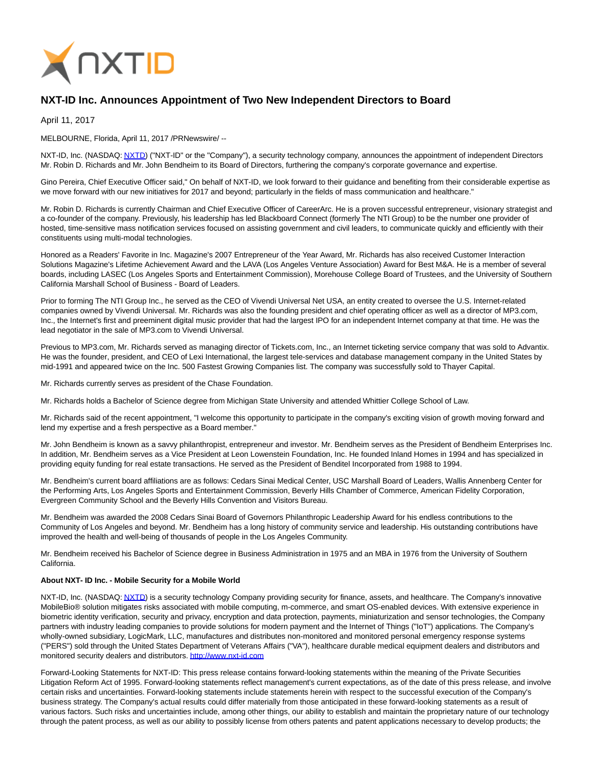

## **NXT-ID Inc. Announces Appointment of Two New Independent Directors to Board**

April 11, 2017

MELBOURNE, Florida, April 11, 2017 /PRNewswire/ --

NXT-ID, Inc. (NASDAQ[: NXTD\)](https://finance.yahoo.com/q?s=nxtd) ("NXT-ID" or the "Company"), a security technology company, announces the appointment of independent Directors Mr. Robin D. Richards and Mr. John Bendheim to its Board of Directors, furthering the company's corporate governance and expertise.

Gino Pereira, Chief Executive Officer said," On behalf of NXT-ID, we look forward to their guidance and benefiting from their considerable expertise as we move forward with our new initiatives for 2017 and beyond; particularly in the fields of mass communication and healthcare."

Mr. Robin D. Richards is currently Chairman and Chief Executive Officer of CareerArc. He is a proven successful entrepreneur, visionary strategist and a co-founder of the company. Previously, his leadership has led Blackboard Connect (formerly The NTI Group) to be the number one provider of hosted, time-sensitive mass notification services focused on assisting government and civil leaders, to communicate quickly and efficiently with their constituents using multi-modal technologies.

Honored as a Readers' Favorite in Inc. Magazine's 2007 Entrepreneur of the Year Award, Mr. Richards has also received Customer Interaction Solutions Magazine's Lifetime Achievement Award and the LAVA (Los Angeles Venture Association) Award for Best M&A. He is a member of several boards, including LASEC (Los Angeles Sports and Entertainment Commission), Morehouse College Board of Trustees, and the University of Southern California Marshall School of Business - Board of Leaders.

Prior to forming The NTI Group Inc., he served as the CEO of Vivendi Universal Net USA, an entity created to oversee the U.S. Internet-related companies owned by Vivendi Universal. Mr. Richards was also the founding president and chief operating officer as well as a director of MP3.com, Inc., the Internet's first and preeminent digital music provider that had the largest IPO for an independent Internet company at that time. He was the lead negotiator in the sale of MP3.com to Vivendi Universal.

Previous to MP3.com, Mr. Richards served as managing director of Tickets.com, Inc., an Internet ticketing service company that was sold to Advantix. He was the founder, president, and CEO of Lexi International, the largest tele-services and database management company in the United States by mid-1991 and appeared twice on the Inc. 500 Fastest Growing Companies list. The company was successfully sold to Thayer Capital.

Mr. Richards currently serves as president of the Chase Foundation.

Mr. Richards holds a Bachelor of Science degree from Michigan State University and attended Whittier College School of Law.

Mr. Richards said of the recent appointment, "I welcome this opportunity to participate in the company's exciting vision of growth moving forward and lend my expertise and a fresh perspective as a Board member."

Mr. John Bendheim is known as a savvy philanthropist, entrepreneur and investor. Mr. Bendheim serves as the President of Bendheim Enterprises Inc. In addition, Mr. Bendheim serves as a Vice President at Leon Lowenstein Foundation, Inc. He founded Inland Homes in 1994 and has specialized in providing equity funding for real estate transactions. He served as the President of Benditel Incorporated from 1988 to 1994.

Mr. Bendheim's current board affiliations are as follows: Cedars Sinai Medical Center, USC Marshall Board of Leaders, Wallis Annenberg Center for the Performing Arts, Los Angeles Sports and Entertainment Commission, Beverly Hills Chamber of Commerce, American Fidelity Corporation, Evergreen Community School and the Beverly Hills Convention and Visitors Bureau.

Mr. Bendheim was awarded the 2008 Cedars Sinai Board of Governors Philanthropic Leadership Award for his endless contributions to the Community of Los Angeles and beyond. Mr. Bendheim has a long history of community service and leadership. His outstanding contributions have improved the health and well-being of thousands of people in the Los Angeles Community.

Mr. Bendheim received his Bachelor of Science degree in Business Administration in 1975 and an MBA in 1976 from the University of Southern California.

## **About NXT- ID Inc. - Mobile Security for a Mobile World**

NXT-ID, Inc. (NASDAQ[: NXTD\)](https://finance.yahoo.com/q?s=nxtd) is a security technology Company providing security for finance, assets, and healthcare. The Company's innovative MobileBio® solution mitigates risks associated with mobile computing, m-commerce, and smart OS-enabled devices. With extensive experience in biometric identity verification, security and privacy, encryption and data protection, payments, miniaturization and sensor technologies, the Company partners with industry leading companies to provide solutions for modern payment and the Internet of Things ("IoT") applications. The Company's wholly-owned subsidiary, LogicMark, LLC, manufactures and distributes non-monitored and monitored personal emergency response systems ("PERS") sold through the United States Department of Veterans Affairs ("VA"), healthcare durable medical equipment dealers and distributors and monitored security dealers and distributors[. http://www.nxt-id.com](http://www.nxt-id.com/)

Forward-Looking Statements for NXT-ID: This press release contains forward-looking statements within the meaning of the Private Securities Litigation Reform Act of 1995. Forward-looking statements reflect management's current expectations, as of the date of this press release, and involve certain risks and uncertainties. Forward-looking statements include statements herein with respect to the successful execution of the Company's business strategy. The Company's actual results could differ materially from those anticipated in these forward-looking statements as a result of various factors. Such risks and uncertainties include, among other things, our ability to establish and maintain the proprietary nature of our technology through the patent process, as well as our ability to possibly license from others patents and patent applications necessary to develop products; the